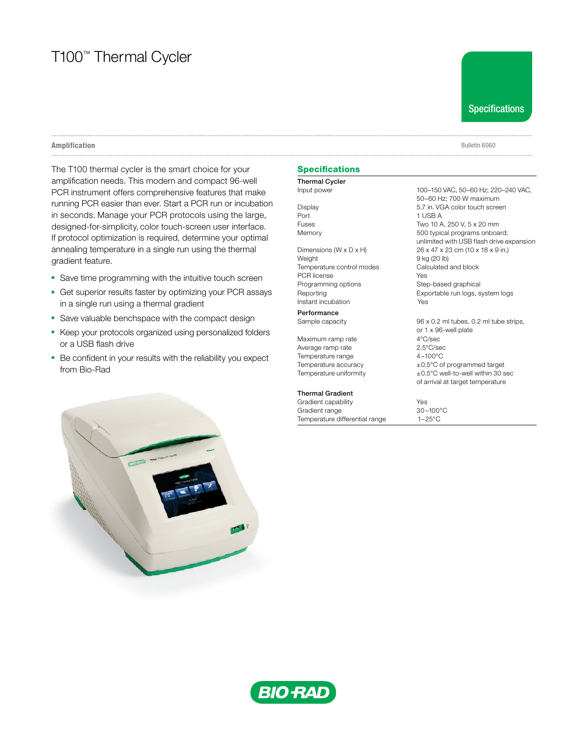# T100™ Thermal Cycler

Specifications

#### Amplification Bulletin 6060

The T100 thermal cycler is the smart choice for your amplification needs. This modern and compact 96-well PCR instrument offers comprehensive features that make running PCR easier than ever. Start a PCR run or incubation in seconds. Manage your PCR protocols using the large, designed-for-simplicity, color touch-screen user interface. If protocol optimization is required, determine your optimal annealing temperature in a single run using the thermal gradient feature.

- Save time programming with the intuitive touch screen
- Get superior results faster by optimizing your PCR assays in a single run using a thermal gradient
- Save valuable benchspace with the compact design
- Keep your protocols organized using personalized folders or a USB flash drive
- Be confident in your results with the reliability you expect from Bio-Rad



## Specifications

Thermal Cycler Port 1 USB A

Weight 9 kg (20 lb) Temperature control modes Calculated and block PCR license Yes Programming options Step-based graphical Instant incubation Yes

**Performance** 

Maximum ramp rate  $4^{\circ}$ C/sec<br>Average ramp rate  $2.5^{\circ}$ C/sec Average ramp rate  $2.5^{\circ}$ C/sec<br>
Temperature range  $4-100^{\circ}$ C Temperature range

## Thermal Gradient

Gradient capability<br>
Gradient range<br>
30-100°C Gradient range<br>
Temperature differential range  $1-25^{\circ}$ C Temperature differential range

Input power 100–150 VAC, 50–60 Hz; 220–240 VAC, 50–60 Hz; 700 W maximum Display 5.7 in. VGA color touch screen Fuses Two 10 A, 250 V, 5 x 20 mm Memory 600 typical programs onboard; unlimited with USB flash drive expansion Dimensions (W x D x H) 26 x 47 x 23 cm (10 x 18 x 9 in.) Reporting **Exportable run logs**, system logs

Sample capacity 96 x 0.2 ml tubes, 0.2 ml tube strips, or 1 x 96-well plate Temperature accuracy  $\pm 0.5^{\circ}$ C of programmed target<br>Temperature uniformity  $\pm 0.5^{\circ}$ C well-to-well within 30 s  $±0.5^{\circ}$ C well-to-well within 30 sec of arrival at target temperature